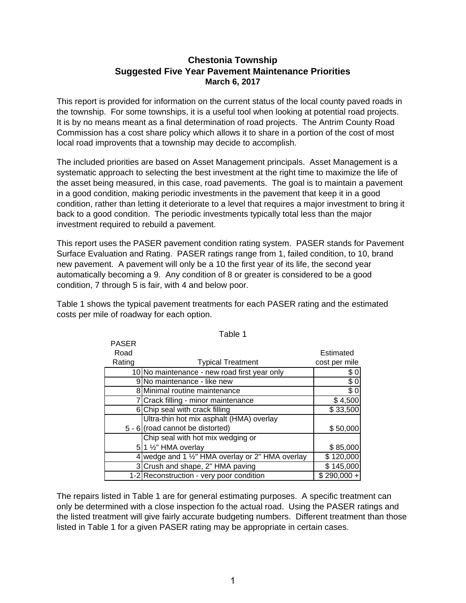## **Chestonia Township Suggested Five Year Pavement Maintenance Priorities March 6, 2017**

This report is provided for information on the current status of the local county paved roads in the township. For some townships, it is a useful tool when looking at potential road projects. It is by no means meant as a final determination of road projects. The Antrim County Road Commission has a cost share policy which allows it to share in a portion of the cost of most local road improvents that a township may decide to accomplish.

The included priorities are based on Asset Management principals. Asset Management is a systematic approach to selecting the best investment at the right time to maximize the life of the asset being measured, in this case, road pavements. The goal is to maintain a pavement in a good condition, making periodic investments in the pavement that keep it in a good condition, rather than letting it deteriorate to a level that requires a major investment to bring it back to a good condition. The periodic investments typically total less than the major investment required to rebuild a pavement.

This report uses the PASER pavement condition rating system. PASER stands for Pavement Surface Evaluation and Rating. PASER ratings range from 1, failed condition, to 10, brand new pavement. A pavement will only be a 10 the first year of its life, the second year automatically becoming a 9. Any condition of 8 or greater is considered to be a good condition, 7 through 5 is fair, with 4 and below poor.

Table 1 shows the typical pavement treatments for each PASER rating and the estimated costs per mile of roadway for each option.

 $P^{\prime}$ 

| PASER  |                                                  |               |
|--------|--------------------------------------------------|---------------|
| Road   |                                                  | Estimated     |
| Rating | <b>Typical Treatment</b>                         | cost per mile |
|        | 10 No maintenance - new road first year only     | \$0           |
|        | 9 No maintenance - like new                      | \$0           |
|        | 8 Minimal routine maintenance                    | $\sqrt{6}$    |
|        | 7 Crack filling - minor maintenance              | \$4,500       |
|        | 6 Chip seal with crack filling                   | \$33,500      |
|        | Ultra-thin hot mix asphalt (HMA) overlay         |               |
|        | 5 - 6 (road cannot be distorted)                 | \$50,000      |
|        | Chip seal with hot mix wedging or                |               |
|        | $5$  1 $\frac{1}{2}$ " HMA overlay               | \$85,000      |
|        | 4 wedge and 1 1/2" HMA overlay or 2" HMA overlay | \$120,000     |
|        | 3 Crush and shape, 2" HMA paving                 | \$145,000     |
|        | 1-2 Reconstruction - very poor condition         | $$290,000 +$  |

Table 1

The repairs listed in Table 1 are for general estimating purposes. A specific treatment can only be determined with a close inspection fo the actual road. Using the PASER ratings and the listed treatment will give fairly accurate budgeting numbers. Different treatment than those listed in Table 1 for a given PASER rating may be appropriate in certain cases.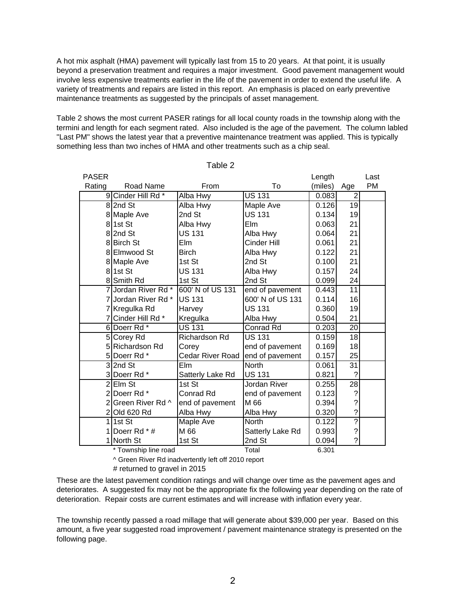A hot mix asphalt (HMA) pavement will typically last from 15 to 20 years. At that point, it is usually beyond a preservation treatment and requires a major investment. Good pavement management would involve less expensive treatments earlier in the life of the pavement in order to extend the useful life. A variety of treatments and repairs are listed in this report. An emphasis is placed on early preventive maintenance treatments as suggested by the principals of asset management.

Table 2 shows the most current PASER ratings for all local county roads in the township along with the termini and length for each segment rated. Also included is the age of the pavement. The column labled "Last PM" shows the latest year that a preventive maintenance treatment was applied. This is typically something less than two inches of HMA and other treatments such as a chip seal.

| <b>PASER</b> |                      |                  |                  | Length             |                          | Last |
|--------------|----------------------|------------------|------------------|--------------------|--------------------------|------|
| Rating       | Road Name            | From             | To               | (miles)            | Age                      | PM   |
|              | 9 Cinder Hill Rd *   | Alba Hwy         | <b>US 131</b>    | 0.083              | 2                        |      |
|              | 82nd St              | Alba Hwy         | Maple Ave        | $\overline{0.126}$ | 19                       |      |
|              | 8 Maple Ave          | 2nd St           | <b>US 131</b>    | 0.134              | 19                       |      |
|              | 81st St              | Alba Hwy         | Elm              | 0.063              | 21                       |      |
|              | 82nd St              | <b>US 131</b>    | Alba Hwy         | 0.064              | 21                       |      |
|              | 8 Birch St           | Elm              | Cinder Hill      | 0.061              | 21                       |      |
|              | 8 Elmwood St         | <b>Birch</b>     | Alba Hwy         | 0.122              | 21                       |      |
|              | 8 Maple Ave          | 1st St           | 2nd St           | 0.100              | 21                       |      |
|              | 81st St              | <b>US 131</b>    | Alba Hwy         | 0.157              | 24                       |      |
|              | 8 Smith Rd           | 1st St           | 2nd St           | 0.099              | 24                       |      |
|              | 7 Jordan River Rd *  | 600' N of US 131 | end of pavement  | 0.443              | 11                       |      |
|              | 7 Jordan River Rd *  | <b>US 131</b>    | 600' N of US 131 | 0.114              | 16                       |      |
|              | 7 Kregulka Rd        | Harvey           | <b>US 131</b>    | 0.360              | 19                       |      |
|              | 7 Cinder Hill Rd *   | Kregulka         | Alba Hwy         | 0.504              | 21                       |      |
|              | 6 Doerr Rd *         | <b>US 131</b>    | Conrad Rd        | 0.203              | 20                       |      |
|              | 5 Corey Rd           | Richardson Rd    | <b>US 131</b>    | 0.159              | 18                       |      |
|              | 5 Richardson Rd      | Corey            | end of pavement  | 0.169              | 18                       |      |
|              | 5 Doerr Rd *         | Cedar River Road | end of pavement  | 0.157              | 25                       |      |
|              | 32nd St              | <b>Elm</b>       | <b>North</b>     | 0.061              | 31                       |      |
|              | 3 Doerr Rd *         | Satterly Lake Rd | <b>US 131</b>    | 0.821              | ?                        |      |
|              | 2Elm St              | 1st St           | Jordan River     | 0.255              | 28                       |      |
|              | 2 Doerr Rd *         | <b>Conrad Rd</b> | end of pavement  | 0.123              | $\ddot{ }$               |      |
|              | 2 Green River Rd ^   | end of pavement  | M 66             | 0.394              | $\overline{\mathcal{C}}$ |      |
|              | 2 Old 620 Rd         | Alba Hwy         | Alba Hwy         | 0.320              | $\overline{\mathcal{C}}$ |      |
| 11           | 1st St               | Maple Ave        | North            | 0.122              | ?                        |      |
|              | 1 Doerr Rd * #       | M 66             | Satterly Lake Rd | 0.993              | $\tilde{?}$              |      |
|              | 1 North St           | 1st St           | 2nd St           | 0.094              | ?                        |      |
|              | * Township line road |                  | Total            | 6.301              |                          |      |

Table 2

^ Green River Rd inadvertently left off 2010 report

# returned to gravel in 2015

These are the latest pavement condition ratings and will change over time as the pavement ages and deteriorates. A suggested fix may not be the appropriate fix the following year depending on the rate of deterioration. Repair costs are current estimates and will increase with inflation every year.

The township recently passed a road millage that will generate about \$39,000 per year. Based on this amount, a five year suggested road improvement / pavement maintenance strategy is presented on the following page.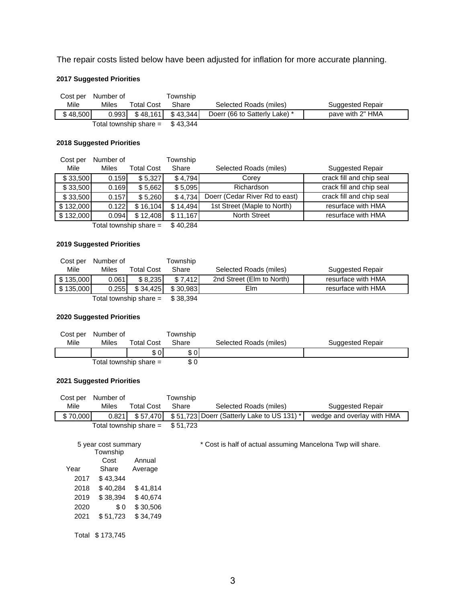The repair costs listed below have been adjusted for inflation for more accurate planning.

### **2017 Suggested Priorities**

| Cost per                 | Number of |                       | Township |                               |                         |
|--------------------------|-----------|-----------------------|----------|-------------------------------|-------------------------|
| Mile                     | Miles     | <b>Total Cost</b>     | Share    | Selected Roads (miles)        | <b>Suggested Repair</b> |
| \$48,500                 |           | $0.993$ \ \ \$ 48.161 | \$43.344 | Doerr (66 to Satterly Lake) * | pave with 2" HMA        |
| Total township share $=$ |           |                       | \$43.344 |                               |                         |

### **2018 Suggested Priorities**

| Cost per                                        | Number of |            | Township |                                |                          |
|-------------------------------------------------|-----------|------------|----------|--------------------------------|--------------------------|
| Mile                                            | Miles     | Total Cost | Share    | Selected Roads (miles)         | <b>Suggested Repair</b>  |
| \$33,500                                        | 0.159     | \$5,327    | \$4,794  | Corev                          | crack fill and chip seal |
| \$33,500                                        | 0.169     | \$5,662    | \$5,095  | Richardson                     | crack fill and chip seal |
| \$33,500                                        | 0.157     | \$5,260    | \$4,734  | Doerr (Cedar River Rd to east) | crack fill and chip seal |
| \$132,000                                       | 0.122     | \$16.104   | \$14.494 | 1st Street (Maple to North)    | resurface with HMA       |
| \$132,000                                       | 0.094     | \$12,408   | \$11.167 | <b>North Street</b>            | resurface with HMA       |
| The start that the same is been as large to see |           |            | 0.1001   |                                |                          |

Total township share  $=$  \$40,284

### **2019 Suggested Priorities**

| Cost per  | Number of |                        | Township |                           |                         |
|-----------|-----------|------------------------|----------|---------------------------|-------------------------|
| Mile      | Miles     | Total Cost             | Share    | Selected Roads (miles)    | <b>Suggested Repair</b> |
| \$135,000 | 0.061     | \$8.235                | \$7.412  | 2nd Street (Elm to North) | resurface with HMA      |
| \$135,000 | 0.255     | \$34.425               | \$30.983 | Elm                       | resurface with HMA      |
|           |           | Total township share = | \$38.394 |                           |                         |

#### **2020 Suggested Priorities**

|      | Cost per Number of |                          | Township |                        |                  |
|------|--------------------|--------------------------|----------|------------------------|------------------|
| Mile | Miles              | <b>Total Cost</b>        | Share    | Selected Roads (miles) | Suggested Repair |
|      |                    | \$0                      | \$ 0 I   |                        |                  |
|      |                    | Total township share $=$ | \$0      |                        |                  |

### **2021 Suggested Priorities**

| Cost per | Number of           |                          | Township |                                                             |                            |  |
|----------|---------------------|--------------------------|----------|-------------------------------------------------------------|----------------------------|--|
| Mile     | Miles               | <b>Total Cost</b>        | Share    | Selected Roads (miles)                                      | <b>Suggested Repair</b>    |  |
| \$70,000 | 0.821               | \$57,470                 |          | \$51,723 Doerr (Satterly Lake to US 131) *                  | wedge and overlay with HMA |  |
|          |                     | Total township share $=$ | \$51,723 |                                                             |                            |  |
|          |                     |                          |          |                                                             |                            |  |
|          | 5 year cost summary |                          |          | * Cost is half of actual assuming Mancelona Twp will share. |                            |  |
|          | Township            |                          |          |                                                             |                            |  |
|          | Cost                | Annual                   |          |                                                             |                            |  |
| Year     | Share               | Average                  |          |                                                             |                            |  |
| 2017     | \$43,344            |                          |          |                                                             |                            |  |
| 2018     | \$40,284            | \$41,814                 |          |                                                             |                            |  |
| 2019     | \$38,394            | \$40,674                 |          |                                                             |                            |  |
| 2020     | \$0                 | \$30,506                 |          |                                                             |                            |  |
| 2021     | \$51,723            | \$34,749                 |          |                                                             |                            |  |
|          |                     |                          |          |                                                             |                            |  |
|          | Total \$173,745     |                          |          |                                                             |                            |  |
|          |                     |                          |          |                                                             |                            |  |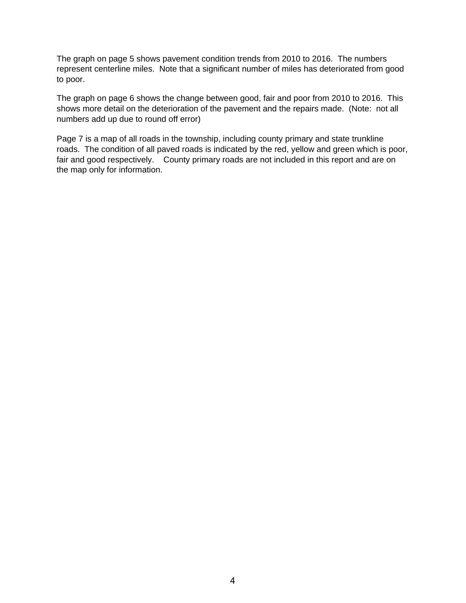The graph on page 5 shows pavement condition trends from 2010 to 2016. The numbers represent centerline miles. Note that a significant number of miles has deteriorated from good to poor.

The graph on page 6 shows the change between good, fair and poor from 2010 to 2016. This shows more detail on the deterioration of the pavement and the repairs made. (Note: not all numbers add up due to round off error)

Page 7 is a map of all roads in the township, including county primary and state trunkline roads. The condition of all paved roads is indicated by the red, yellow and green which is poor, fair and good respectively. County primary roads are not included in this report and are on the map only for information.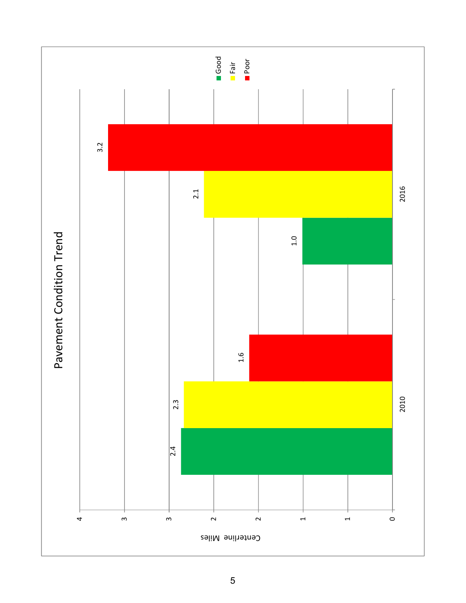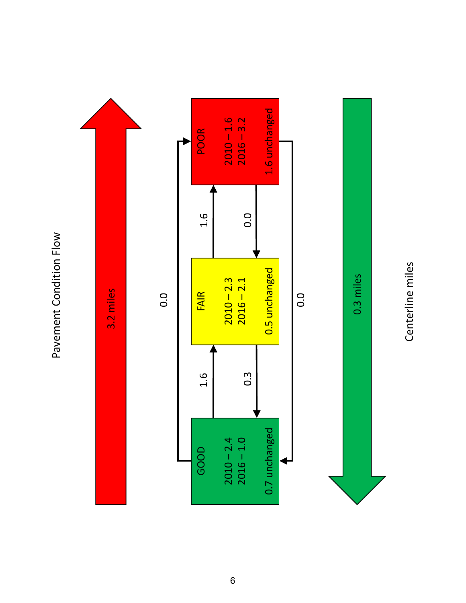Pavement Condition Flow Pavement Condition Flow



Centerline miles Centerline miles